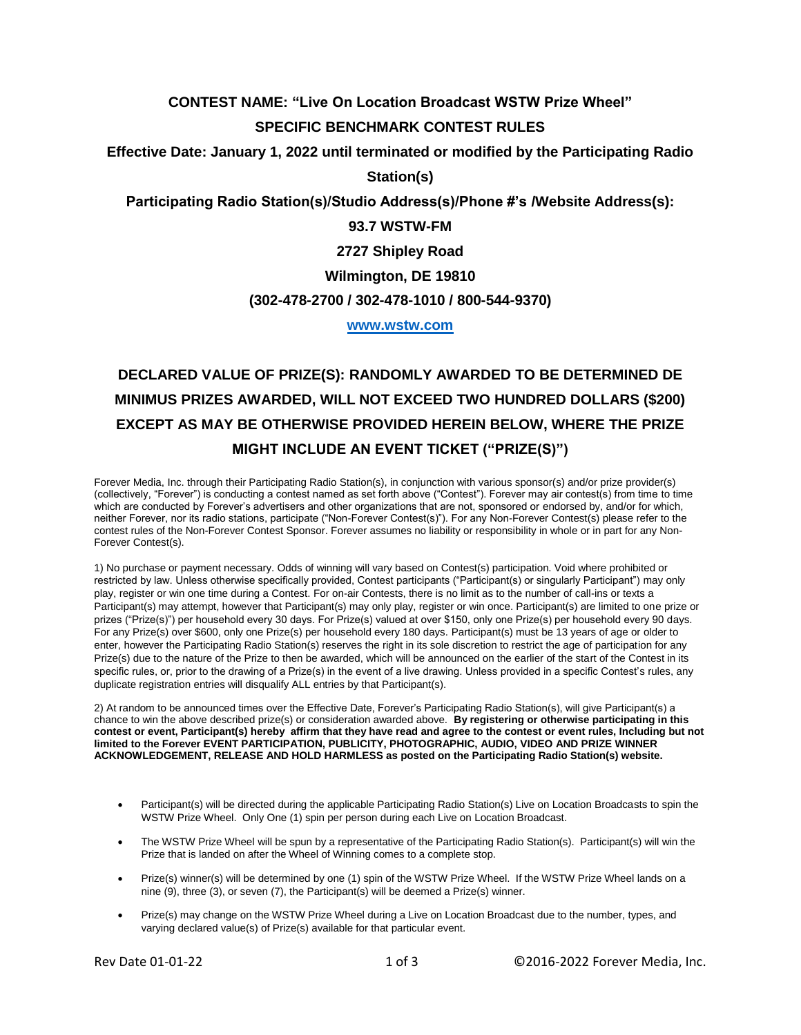## **CONTEST NAME: "Live On Location Broadcast WSTW Prize Wheel"**

### **SPECIFIC BENCHMARK CONTEST RULES**

**Effective Date: January 1, 2022 until terminated or modified by the Participating Radio** 

**Station(s)**

**Participating Radio Station(s)/Studio Address(s)/Phone #'s /Website Address(s):**

## **93.7 WSTW-FM**

**2727 Shipley Road**

**Wilmington, DE 19810**

#### **(302-478-2700 / 302-478-1010 / 800-544-9370)**

**[www.wstw.com](http://www.wstw.com/)**

# **DECLARED VALUE OF PRIZE(S): RANDOMLY AWARDED TO BE DETERMINED DE MINIMUS PRIZES AWARDED, WILL NOT EXCEED TWO HUNDRED DOLLARS (\$200) EXCEPT AS MAY BE OTHERWISE PROVIDED HEREIN BELOW, WHERE THE PRIZE MIGHT INCLUDE AN EVENT TICKET ("PRIZE(S)")**

Forever Media, Inc. through their Participating Radio Station(s), in conjunction with various sponsor(s) and/or prize provider(s) (collectively, "Forever") is conducting a contest named as set forth above ("Contest"). Forever may air contest(s) from time to time which are conducted by Forever's advertisers and other organizations that are not, sponsored or endorsed by, and/or for which, neither Forever, nor its radio stations, participate ("Non-Forever Contest(s)"). For any Non-Forever Contest(s) please refer to the contest rules of the Non-Forever Contest Sponsor. Forever assumes no liability or responsibility in whole or in part for any Non-Forever Contest(s).

1) No purchase or payment necessary. Odds of winning will vary based on Contest(s) participation. Void where prohibited or restricted by law. Unless otherwise specifically provided, Contest participants ("Participant(s) or singularly Participant") may only play, register or win one time during a Contest. For on-air Contests, there is no limit as to the number of call-ins or texts a Participant(s) may attempt, however that Participant(s) may only play, register or win once. Participant(s) are limited to one prize or prizes ("Prize(s)") per household every 30 days. For Prize(s) valued at over \$150, only one Prize(s) per household every 90 days. For any Prize(s) over \$600, only one Prize(s) per household every 180 days. Participant(s) must be 13 years of age or older to enter, however the Participating Radio Station(s) reserves the right in its sole discretion to restrict the age of participation for any Prize(s) due to the nature of the Prize to then be awarded, which will be announced on the earlier of the start of the Contest in its specific rules, or, prior to the drawing of a Prize(s) in the event of a live drawing. Unless provided in a specific Contest's rules, any duplicate registration entries will disqualify ALL entries by that Participant(s).

2) At random to be announced times over the Effective Date, Forever's Participating Radio Station(s), will give Participant(s) a chance to win the above described prize(s) or consideration awarded above. **By registering or otherwise participating in this contest or event, Participant(s) hereby affirm that they have read and agree to the contest or event rules, Including but not limited to the Forever EVENT PARTICIPATION, PUBLICITY, PHOTOGRAPHIC, AUDIO, VIDEO AND PRIZE WINNER ACKNOWLEDGEMENT, RELEASE AND HOLD HARMLESS as posted on the Participating Radio Station(s) website.**

- Participant(s) will be directed during the applicable Participating Radio Station(s) Live on Location Broadcasts to spin the WSTW Prize Wheel. Only One (1) spin per person during each Live on Location Broadcast.
- The WSTW Prize Wheel will be spun by a representative of the Participating Radio Station(s). Participant(s) will win the Prize that is landed on after the Wheel of Winning comes to a complete stop.
- Prize(s) winner(s) will be determined by one (1) spin of the WSTW Prize Wheel. If the WSTW Prize Wheel lands on a nine (9), three (3), or seven (7), the Participant(s) will be deemed a Prize(s) winner.
- Prize(s) may change on the WSTW Prize Wheel during a Live on Location Broadcast due to the number, types, and varying declared value(s) of Prize(s) available for that particular event.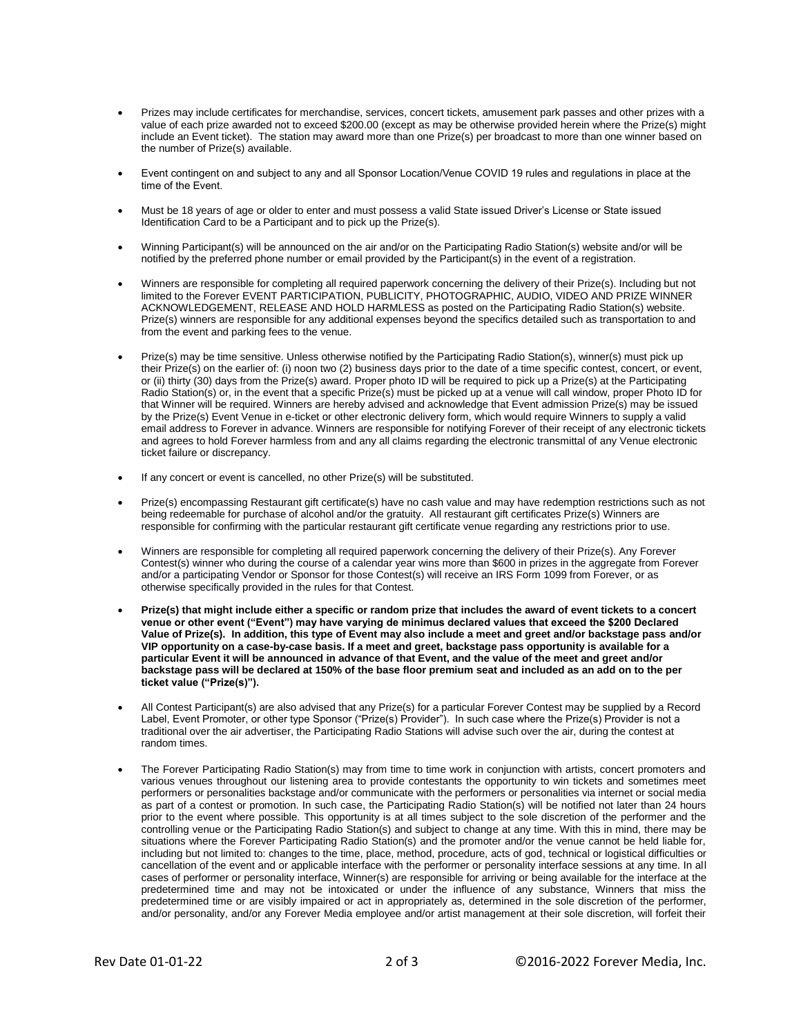- Prizes may include certificates for merchandise, services, concert tickets, amusement park passes and other prizes with a value of each prize awarded not to exceed \$200.00 (except as may be otherwise provided herein where the Prize(s) might include an Event ticket). The station may award more than one Prize(s) per broadcast to more than one winner based on the number of Prize(s) available.
- Event contingent on and subject to any and all Sponsor Location/Venue COVID 19 rules and regulations in place at the time of the Event.
- Must be 18 years of age or older to enter and must possess a valid State issued Driver's License or State issued Identification Card to be a Participant and to pick up the Prize(s).
- Winning Participant(s) will be announced on the air and/or on the Participating Radio Station(s) website and/or will be notified by the preferred phone number or email provided by the Participant(s) in the event of a registration.
- Winners are responsible for completing all required paperwork concerning the delivery of their Prize(s). Including but not limited to the Forever EVENT PARTICIPATION, PUBLICITY, PHOTOGRAPHIC, AUDIO, VIDEO AND PRIZE WINNER ACKNOWLEDGEMENT, RELEASE AND HOLD HARMLESS as posted on the Participating Radio Station(s) website. Prize(s) winners are responsible for any additional expenses beyond the specifics detailed such as transportation to and from the event and parking fees to the venue.
- Prize(s) may be time sensitive. Unless otherwise notified by the Participating Radio Station(s), winner(s) must pick up their Prize(s) on the earlier of: (i) noon two (2) business days prior to the date of a time specific contest, concert, or event, or (ii) thirty (30) days from the Prize(s) award. Proper photo ID will be required to pick up a Prize(s) at the Participating Radio Station(s) or, in the event that a specific Prize(s) must be picked up at a venue will call window, proper Photo ID for that Winner will be required. Winners are hereby advised and acknowledge that Event admission Prize(s) may be issued by the Prize(s) Event Venue in e-ticket or other electronic delivery form, which would require Winners to supply a valid email address to Forever in advance. Winners are responsible for notifying Forever of their receipt of any electronic tickets and agrees to hold Forever harmless from and any all claims regarding the electronic transmittal of any Venue electronic ticket failure or discrepancy.
- If any concert or event is cancelled, no other Prize(s) will be substituted.
- Prize(s) encompassing Restaurant gift certificate(s) have no cash value and may have redemption restrictions such as not being redeemable for purchase of alcohol and/or the gratuity. All restaurant gift certificates Prize(s) Winners are responsible for confirming with the particular restaurant gift certificate venue regarding any restrictions prior to use.
- Winners are responsible for completing all required paperwork concerning the delivery of their Prize(s). Any Forever Contest(s) winner who during the course of a calendar year wins more than \$600 in prizes in the aggregate from Forever and/or a participating Vendor or Sponsor for those Contest(s) will receive an IRS Form 1099 from Forever, or as otherwise specifically provided in the rules for that Contest.
- **Prize(s) that might include either a specific or random prize that includes the award of event tickets to a concert venue or other event ("Event") may have varying de minimus declared values that exceed the \$200 Declared Value of Prize(s). In addition, this type of Event may also include a meet and greet and/or backstage pass and/or VIP opportunity on a case-by-case basis. If a meet and greet, backstage pass opportunity is available for a particular Event it will be announced in advance of that Event, and the value of the meet and greet and/or backstage pass will be declared at 150% of the base floor premium seat and included as an add on to the per ticket value ("Prize(s)").**
- All Contest Participant(s) are also advised that any Prize(s) for a particular Forever Contest may be supplied by a Record Label, Event Promoter, or other type Sponsor ("Prize(s) Provider"). In such case where the Prize(s) Provider is not a traditional over the air advertiser, the Participating Radio Stations will advise such over the air, during the contest at random times.
- The Forever Participating Radio Station(s) may from time to time work in conjunction with artists, concert promoters and various venues throughout our listening area to provide contestants the opportunity to win tickets and sometimes meet performers or personalities backstage and/or communicate with the performers or personalities via internet or social media as part of a contest or promotion. In such case, the Participating Radio Station(s) will be notified not later than 24 hours prior to the event where possible. This opportunity is at all times subject to the sole discretion of the performer and the controlling venue or the Participating Radio Station(s) and subject to change at any time. With this in mind, there may be situations where the Forever Participating Radio Station(s) and the promoter and/or the venue cannot be held liable for, including but not limited to: changes to the time, place, method, procedure, acts of god, technical or logistical difficulties or cancellation of the event and or applicable interface with the performer or personality interface sessions at any time. In all cases of performer or personality interface, Winner(s) are responsible for arriving or being available for the interface at the predetermined time and may not be intoxicated or under the influence of any substance, Winners that miss the predetermined time or are visibly impaired or act in appropriately as, determined in the sole discretion of the performer, and/or personality, and/or any Forever Media employee and/or artist management at their sole discretion, will forfeit their